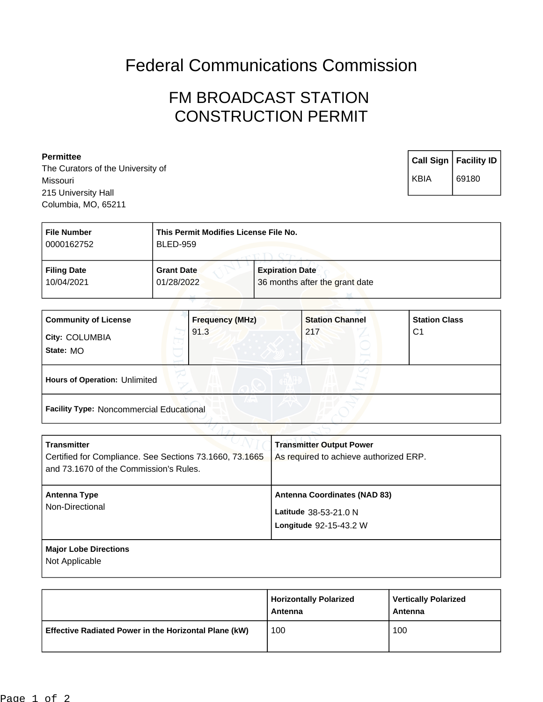## Federal Communications Commission

## FM BROADCAST STATION CONSTRUCTION PERMIT

| Permittee                         |             | Call Sign   Facility ID |
|-----------------------------------|-------------|-------------------------|
| The Curators of the University of |             |                         |
| Missouri                          | <b>KBIA</b> | 69180                   |
| 215 University Hall               |             |                         |
| Columbia, MO, 65211               |             |                         |

| <b>File Number</b> | This Permit Modifies License File No. |                                |
|--------------------|---------------------------------------|--------------------------------|
| 0000162752         | <b>BLED-959</b>                       |                                |
| <b>Filing Date</b> | <b>Grant Date</b>                     | <b>Expiration Date</b>         |
| 10/04/2021         | 01/28/2022                            | 36 months after the grant date |

| <b>Community of License</b><br>City: COLUMBIA<br>State: MO | <b>Frequency (MHz)</b><br>91.3 | <b>Station Channel</b><br>217 | <b>Station Class</b><br>C <sub>1</sub> |
|------------------------------------------------------------|--------------------------------|-------------------------------|----------------------------------------|
| Hours of Operation: Unlimited                              |                                |                               |                                        |
| <b>Facility Type: Noncommercial Educational</b>            |                                |                               |                                        |

The had 55

| <b>Transmitter</b><br>Certified for Compliance. See Sections 73.1660, 73.1665<br>and 73.1670 of the Commission's Rules. | <b>Transmitter Output Power</b><br>As required to achieve authorized ERP.                     |
|-------------------------------------------------------------------------------------------------------------------------|-----------------------------------------------------------------------------------------------|
| Antenna Type<br>Non-Directional                                                                                         | <b>Antenna Coordinates (NAD 83)</b><br>Latitude 38-53-21.0 N<br><b>Longitude 92-15-43.2 W</b> |
| <b>Major Lobe Directions</b><br>Not Applicable                                                                          |                                                                                               |

|                                                              | <b>Horizontally Polarized</b><br>Antenna | <b>Vertically Polarized</b><br>Antenna |
|--------------------------------------------------------------|------------------------------------------|----------------------------------------|
| <b>Effective Radiated Power in the Horizontal Plane (kW)</b> | 100                                      | 100                                    |